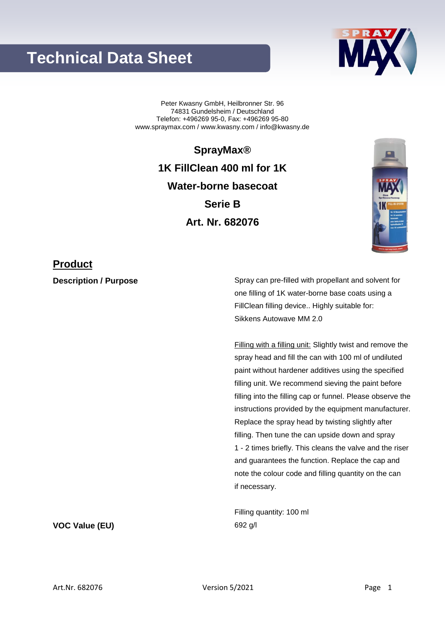## **Technical Data Sheet**



Peter Kwasny GmbH, Heilbronner Str. 96 74831 Gundelsheim / Deutschland Telefon: +496269 95-0, Fax: +496269 95-80 www.spraymax.com / www.kwasny.com / info@kwasny.de

> **SprayMax® 1K FillClean 400 ml for 1K Water-borne basecoat Serie B Art. Nr. 682076**



### **Product**

**Description / Purpose** Spray can pre-filled with propellant and solvent for one filling of 1K water-borne base coats using a FillClean filling device.. Highly suitable for: Sikkens Autowave MM 2.0

> Filling with a filling unit: Slightly twist and remove the spray head and fill the can with 100 ml of undiluted paint without hardener additives using the specified filling unit. We recommend sieving the paint before filling into the filling cap or funnel. Please observe the instructions provided by the equipment manufacturer. Replace the spray head by twisting slightly after filling. Then tune the can upside down and spray 1 - 2 times briefly. This cleans the valve and the riser and guarantees the function. Replace the cap and note the colour code and filling quantity on the can if necessary.

Filling quantity: 100 ml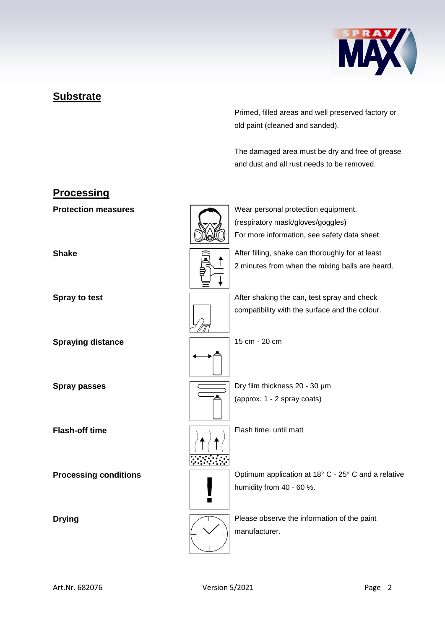

### **Substrate**

Primed, filled areas and well preserved factory or old paint (cleaned and sanded).

The damaged area must be dry and free of grease and dust and all rust needs to be removed.

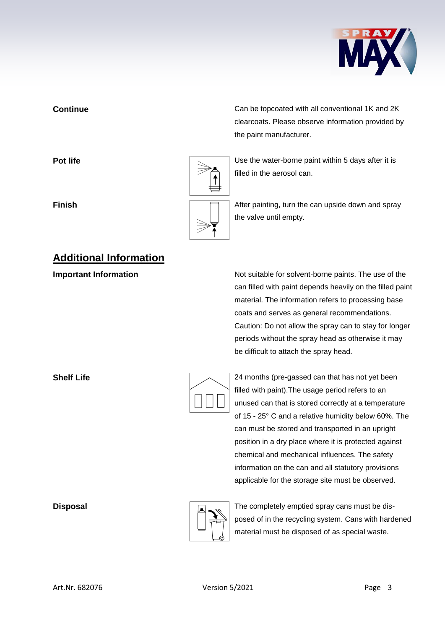

# **Additional Information**

**Continue** Can be topcoated with all conventional 1K and 2K clearcoats. Please observe information provided by the paint manufacturer.

**Pot life Pot life Pot life Pot life Pot life Department is a little value of**  $\sim$  **<b>Depending Life Depending 1** Use the water-borne paint within 5 days after it is filled in the aerosol can.

**Finish Finish Finish After painting, turn the can upside down and spray** the valve until empty.

**Important Information Information** Not suitable for solvent-borne paints. The use of the can filled with paint depends heavily on the filled paint material. The information refers to processing base coats and serves as general recommendations. Caution: Do not allow the spray can to stay for longer periods without the spray head as otherwise it may be difficult to attach the spray head.

|  | 24 mont    |
|--|------------|
|  | filled wit |
|  | unused     |
|  | of 15 - 2  |
|  |            |

**Shelf Life** 24 months (pre-gassed can that has not yet been th paint).The usage period refers to an can that is stored correctly at a temperature  $25^\circ$  C and a relative humidity below 60%. The can must be stored and transported in an upright position in a dry place where it is protected against chemical and mechanical influences. The safety information on the can and all statutory provisions applicable for the storage site must be observed.



**Disposal** Disposal **The completely emptied spray cans must be dis**posed of in the recycling system. Cans with hardened material must be disposed of as special waste.